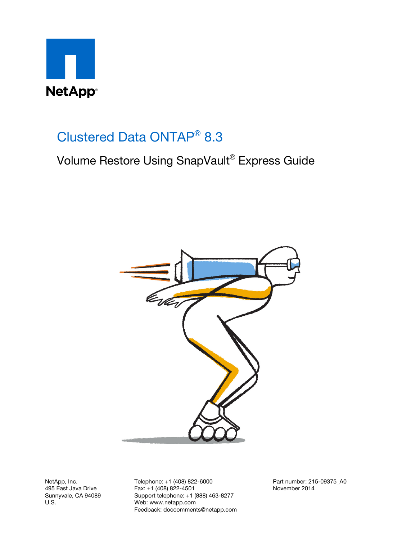

# Clustered Data ONTAP® 8.3

# Volume Restore Using SnapVault® Express Guide



NetApp, Inc. 495 East Java Drive Sunnyvale, CA 94089 U.S.

Telephone: +1 (408) 822-6000 Fax: +1 (408) 822-4501 Support telephone: +1 (888) 463-8277 Web: www.netapp.com Feedback: doccomments@netapp.com Part number: 215-09375\_A0 November 2014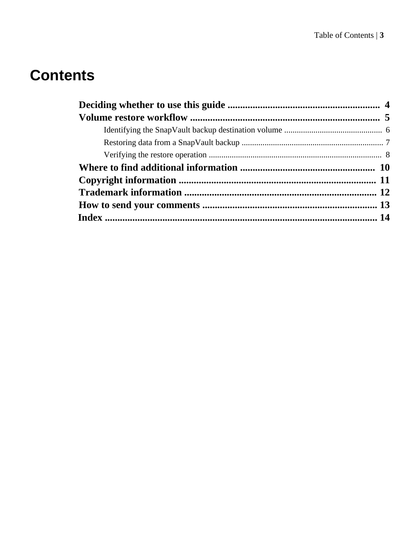# **Contents**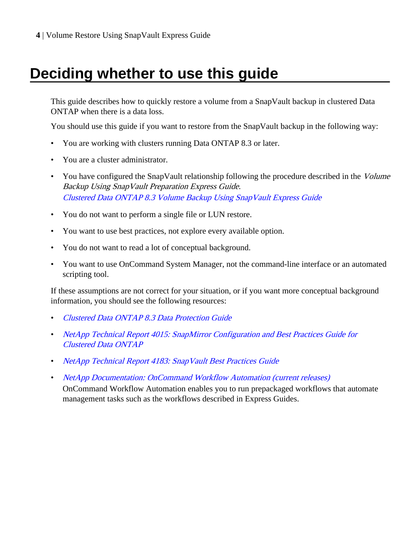# <span id="page-3-0"></span>**Deciding whether to use this guide**

This guide describes how to quickly restore a volume from a SnapVault backup in clustered Data ONTAP when there is a data loss.

You should use this guide if you want to restore from the SnapVault backup in the following way:

- You are working with clusters running Data ONTAP 8.3 or later.
- You are a cluster administrator.
- You have configured the SnapVault relationship following the procedure described in the Volume Backup Using SnapVault Preparation Express Guide. [Clustered Data ONTAP 8.3 Volume Backup Using SnapVault Express Guide](https://library.netapp.com/ecm/ecm_download_file/ECMP1653496)
- You do not want to perform a single file or LUN restore.
- You want to use best practices, not explore every available option.
- You do not want to read a lot of conceptual background.
- You want to use OnCommand System Manager, not the command-line interface or an automated scripting tool.

If these assumptions are not correct for your situation, or if you want more conceptual background information, you should see the following resources:

- [Clustered Data ONTAP 8.3 Data Protection Guide](https://library.netapp.com/ecm/ecm_download_file/ECMP1610205)
- [NetApp Technical Report 4015: SnapMirror Configuration and Best Practices Guide for](http://www.netapp.com/us/media/tr-4015.pdf) [Clustered Data ONTAP](http://www.netapp.com/us/media/tr-4015.pdf)
- [NetApp Technical Report 4183: SnapVault Best Practices Guide](http://www.netapp.com/us/media/tr-4183.pdf)
- [NetApp Documentation: OnCommand Workflow Automation \(current releases\)](http://mysupport.netapp.com/documentation/productlibrary/index.html?productID=61550)

OnCommand Workflow Automation enables you to run prepackaged workflows that automate management tasks such as the workflows described in Express Guides.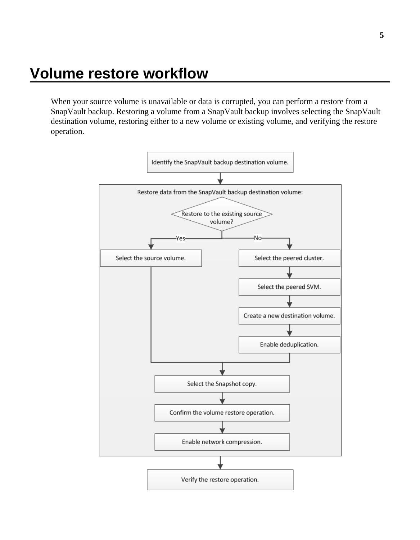# <span id="page-4-0"></span>**Volume restore workflow**

When your source volume is unavailable or data is corrupted, you can perform a restore from a SnapVault backup. Restoring a volume from a SnapVault backup involves selecting the SnapVault destination volume, restoring either to a new volume or existing volume, and verifying the restore operation.

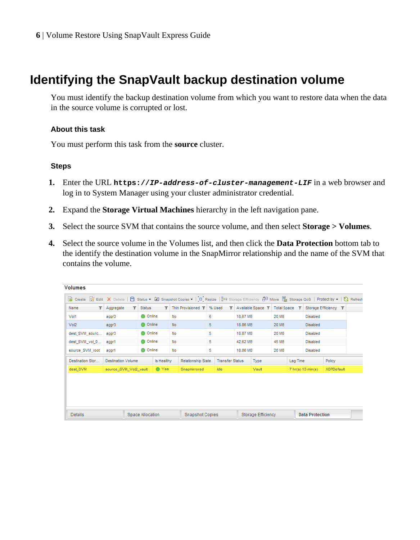# <span id="page-5-0"></span>**Identifying the SnapVault backup destination volume**

You must identify the backup destination volume from which you want to restore data when the data in the source volume is corrupted or lost.

#### **About this task**

You must perform this task from the **source** cluster.

#### **Steps**

- **1.** Enter the URL **https://IP-address-of-cluster-management-LIF** in a web browser and log in to System Manager using your cluster administrator credential.
- **2.** Expand the **Storage Virtual Machines** hierarchy in the left navigation pane.
- **3.** Select the source SVM that contains the source volume, and then select **Storage > Volumes**.
- **4.** Select the source volume in the Volumes list, and then click the **Data Protection** bottom tab to the identify the destination volume in the SnapMirror relationship and the name of the SVM that contains the volume.

| Volumes                                                                                                                                                      |                                      |                  |                                         |              |                        |      |             |                                 |                           |              |                   |                        |                   |  |
|--------------------------------------------------------------------------------------------------------------------------------------------------------------|--------------------------------------|------------------|-----------------------------------------|--------------|------------------------|------|-------------|---------------------------------|---------------------------|--------------|-------------------|------------------------|-------------------|--|
| 많 Create 2 Edit X Delete   门 Status • ① Snapshot Copies •   인 Resize   299 Storage Efficiency 승인 Move <sup>[8</sup> ] Storage QoS   Protect by •   G Refresh |                                      |                  |                                         |              |                        |      |             |                                 |                           |              |                   |                        |                   |  |
| Name                                                                                                                                                         | $\blacktriangleright$ Aggregate<br>т | <b>Status</b>    | $\mathbf{r}$                            |              | Thin Provisioned T     |      | % Used<br>т | Available Space T Total Space T |                           |              |                   | Storage Efficiency T   |                   |  |
| Vol1                                                                                                                                                         | aggr3                                | Online           |                                         | No           |                        | 6    |             | 18.67 MB                        |                           | <b>20 MB</b> |                   | <b>Disabled</b>        |                   |  |
| Vol2                                                                                                                                                         | aggr3                                | Online           | <b>No</b>                               |              |                        | 5    |             | 18.86 MB                        |                           | <b>20 MB</b> |                   | <b>Disabled</b>        |                   |  |
| dest_SVM_sourc                                                                                                                                               | aggr3                                |                  | Online                                  |              | No                     |      |             | 18.87 MB                        |                           | <b>20 MB</b> |                   | <b>Disabled</b>        |                   |  |
| dest SVM vol 0                                                                                                                                               | aggr1                                | Online           |                                         | No           |                        | 5    | 42.62 MB    |                                 | <b>45 MB</b>              |              | <b>Disabled</b>   |                        |                   |  |
| source_SVM_root                                                                                                                                              | aggr1                                | ●                | Online<br>No                            |              | 5                      |      | 18.86 MB    |                                 | <b>20 MB</b>              |              | <b>Disabled</b>   |                        |                   |  |
| Destination Stor                                                                                                                                             | <b>Destination Volume</b>            |                  | Is Healthy<br><b>Relationship State</b> |              | <b>Transfer Status</b> |      |             | Type                            |                           | Lag Time     |                   | Policy                 |                   |  |
| dest SVM                                                                                                                                                     | source SVM Vol2 vault                |                  | ◯ Yes                                   | Snapmirrored |                        | Idle |             |                                 | Vault                     |              | 7 hr(s) 13 min(s) |                        | <b>XDPDefault</b> |  |
|                                                                                                                                                              |                                      |                  |                                         |              |                        |      |             |                                 |                           |              |                   |                        |                   |  |
| <b>Details</b>                                                                                                                                               |                                      | Space Allocation |                                         |              | <b>Snapshot Copies</b> |      |             |                                 | <b>Storage Efficiency</b> |              |                   | <b>Data Protection</b> |                   |  |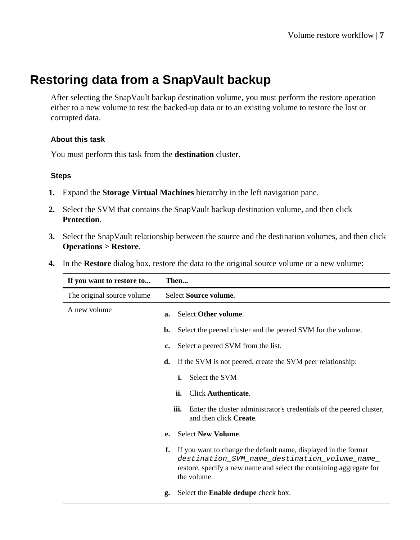# <span id="page-6-0"></span>**Restoring data from a SnapVault backup**

After selecting the SnapVault backup destination volume, you must perform the restore operation either to a new volume to test the backed-up data or to an existing volume to restore the lost or corrupted data.

#### **About this task**

You must perform this task from the **destination** cluster.

#### **Steps**

- **1.** Expand the **Storage Virtual Machines** hierarchy in the left navigation pane.
- **2.** Select the SVM that contains the SnapVault backup destination volume, and then click **Protection**.
- **3.** Select the SnapVault relationship between the source and the destination volumes, and then click **Operations > Restore**.
- **4.** In the **Restore** dialog box, restore the data to the original source volume or a new volume:

| If you want to restore to   | Then                                                                                                                                                                                                         |
|-----------------------------|--------------------------------------------------------------------------------------------------------------------------------------------------------------------------------------------------------------|
| The original source volume. | Select Source volume.                                                                                                                                                                                        |
| A new volume                | Select Other volume.<br>а.                                                                                                                                                                                   |
|                             | Select the peered cluster and the peered SVM for the volume.<br>b.                                                                                                                                           |
|                             | Select a peered SVM from the list.<br>c.                                                                                                                                                                     |
|                             | If the SVM is not peered, create the SVM peer relationship:<br>d.                                                                                                                                            |
|                             | Select the SVM<br>i.                                                                                                                                                                                         |
|                             | ii.<br><b>Click Authenticate.</b>                                                                                                                                                                            |
|                             | iii.<br>Enter the cluster administrator's credentials of the peered cluster,<br>and then click Create.                                                                                                       |
|                             | <b>Select New Volume.</b><br>e.                                                                                                                                                                              |
|                             | If you want to change the default name, displayed in the format<br>f.<br>destination_SVM_name_destination_volume_name_<br>restore, specify a new name and select the containing aggregate for<br>the volume. |
|                             | Select the <b>Enable dedupe</b> check box.<br>g.                                                                                                                                                             |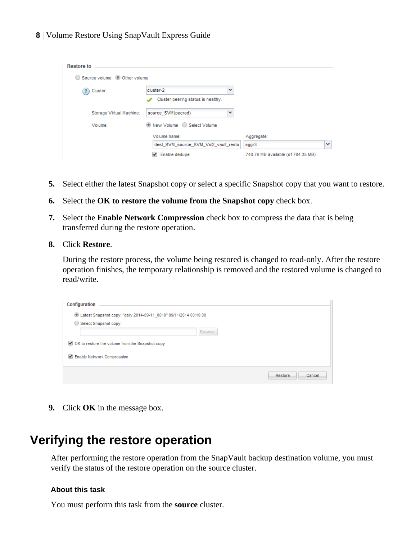#### <span id="page-7-0"></span>**8** | Volume Restore Using SnapVault Express Guide

| <b>Restore to</b>            |                                      |                                    |              |
|------------------------------|--------------------------------------|------------------------------------|--------------|
| Source volume © Other volume |                                      |                                    |              |
| Cluster:<br>2                | cluster-2<br>v                       |                                    |              |
|                              | Cluster peering status is healthy.   |                                    |              |
| Storage Virtual Machine:     | source SVM(peered)<br>$\checkmark$   |                                    |              |
| Volume:                      | ● New Volume ● Select Volume         |                                    |              |
|                              | Volume name:                         | Aggregate:                         |              |
|                              | dest_SVM_source_SVM_Vol2_vault_resto | aggr3                              | $\checkmark$ |
|                              | Enable dedupe                        | 740.76 MB available (of 784.35 MB) |              |

- **5.** Select either the latest Snapshot copy or select a specific Snapshot copy that you want to restore.
- **6.** Select the **OK to restore the volume from the Snapshot copy** check box.
- **7.** Select the **Enable Network Compression** check box to compress the data that is being transferred during the restore operation.

#### **8.** Click **Restore**.

During the restore process, the volume being restored is changed to read-only. After the restore operation finishes, the temporary relationship is removed and the restored volume is changed to read/write.

| Configuration                                                                                           |               |
|---------------------------------------------------------------------------------------------------------|---------------|
| C Latest Snapshot copy: "daily.2014-09-11_0010" 09/11/2014 00:10:00<br>Select Snapshot copy:<br>Browse. |               |
| OK to restore the volume from the Snapshot copy<br>Enable Network Compression                           |               |
| Restore                                                                                                 | <b>Cancel</b> |

**9.** Click **OK** in the message box.

# **Verifying the restore operation**

After performing the restore operation from the SnapVault backup destination volume, you must verify the status of the restore operation on the source cluster.

#### **About this task**

You must perform this task from the **source** cluster.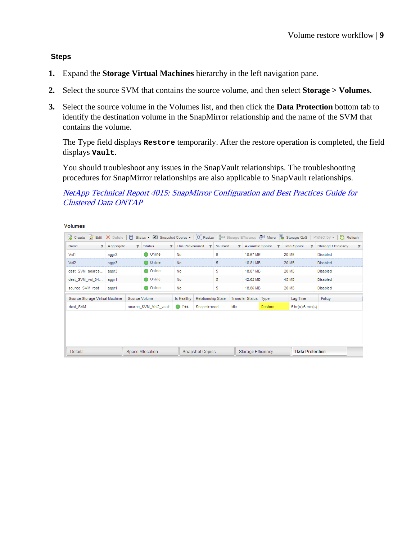#### **Steps**

- **1.** Expand the **Storage Virtual Machines** hierarchy in the left navigation pane.
- **2.** Select the source SVM that contains the source volume, and then select **Storage > Volumes**.
- **3.** Select the source volume in the Volumes list, and then click the **Data Protection** bottom tab to identify the destination volume in the SnapMirror relationship and the name of the SVM that contains the volume.

The Type field displays **Restore** temporarily. After the restore operation is completed, the field displays **Vault**.

You should troubleshoot any issues in the SnapVault relationships. The troubleshooting procedures for SnapMirror relationships are also applicable to SnapVault relationships.

[NetApp Technical Report 4015: SnapMirror Configuration and Best Practices Guide for](http://www.netapp.com/us/media/tr-4015.pdf) [Clustered Data ONTAP](http://www.netapp.com/us/media/tr-4015.pdf)

Volumes

| 2 Create 2 Edit X Delete   日 Status v [3] Snapshot Copies v   [8] Resize   20 Storage Efficiency 80 Move   동torage QoS   Protect by v   특 Refresh |                                                 |   |                    |                           |              |        |                                |                 |                                    |                    |        |                                    |  |
|---------------------------------------------------------------------------------------------------------------------------------------------------|-------------------------------------------------|---|--------------------|---------------------------|--------------|--------|--------------------------------|-----------------|------------------------------------|--------------------|--------|------------------------------------|--|
| Name<br>$\mathbf{r}$                                                                                                                              | Aggregate                                       | т | <b>Status</b><br>т | <b>Thin Provisioned</b>   | $\mathbf{r}$ | % Used | т                              | Available Space | $\mathbf T$                        | <b>Total Space</b> |        | $\mathbb{F}$<br>Storage Efficiency |  |
| Vol1                                                                                                                                              | aggr3                                           |   | <b>Online</b>      | No                        |              | 6      |                                | 18.67 MB        |                                    | <b>20 MB</b>       |        | <b>Disabled</b>                    |  |
| Vol2                                                                                                                                              | aggr3                                           |   | Online             | No                        |              |        | 5                              |                 | 18.81 MB<br><b>20 MB</b>           |                    |        | <b>Disabled</b>                    |  |
| dest SVM source                                                                                                                                   | aggr3                                           |   | Online             |                           | No           |        | 5                              |                 | 18.87 MB                           |                    |        | <b>Disabled</b>                    |  |
| dest_SVM_vol_04                                                                                                                                   | aggr1                                           |   | Online             | No                        |              | 5      | 42.62 MB                       |                 |                                    | 45 MB              |        | <b>Disabled</b>                    |  |
| source SVM root                                                                                                                                   | aggr1                                           |   | <b>O</b> Online    | No                        |              |        | 18.86 MB                       |                 |                                    | <b>20 MB</b>       |        | <b>Disabled</b>                    |  |
|                                                                                                                                                   | Source Storage Virtual Machine<br>Source Volume |   | Is Healthy         | <b>Relationship State</b> |              |        | <b>Transfer Status</b><br>Type |                 | Lag Time                           |                    | Policy |                                    |  |
| dest SVM                                                                                                                                          | source SVM Vol2 vault                           |   | Yes<br>-           | Snapmirrored              | Idle         |        | Restore                        |                 | $5 \text{ hr}(s) 6 \text{ min}(s)$ |                    |        |                                    |  |
|                                                                                                                                                   |                                                 |   |                    |                           |              |        |                                |                 |                                    |                    |        |                                    |  |
| <b>Details</b><br><b>Storage Efficiency</b><br><b>Data Protection</b><br>Space Allocation<br><b>Snapshot Copies</b>                               |                                                 |   |                    |                           |              |        |                                |                 |                                    |                    |        |                                    |  |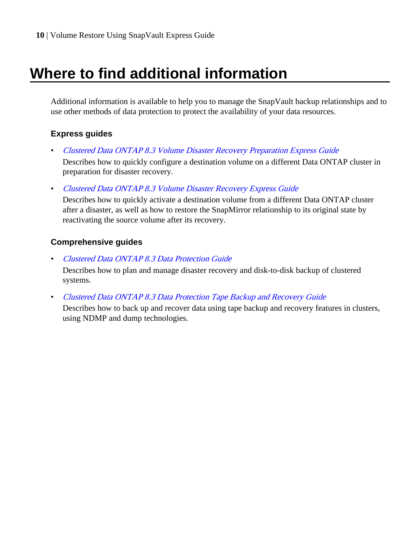# <span id="page-9-0"></span>**Where to find additional information**

Additional information is available to help you to manage the SnapVault backup relationships and to use other methods of data protection to protect the availability of your data resources.

### **Express guides**

- [Clustered Data ONTAP 8.3 Volume Disaster Recovery Preparation Express Guide](https://library.netapp.com/ecm/ecm_download_file/ECMP1653500) Describes how to quickly configure a destination volume on a different Data ONTAP cluster in preparation for disaster recovery.
- [Clustered Data ONTAP 8.3 Volume Disaster Recovery Express Guide](https://library.netapp.com/ecm/ecm_download_file/ECMP1653501)

Describes how to quickly activate a destination volume from a different Data ONTAP cluster after a disaster, as well as how to restore the SnapMirror relationship to its original state by reactivating the source volume after its recovery.

### **Comprehensive guides**

- [Clustered Data ONTAP 8.3 Data Protection Guide](https://library.netapp.com/ecm/ecm_download_file/ECMP1610205) Describes how to plan and manage disaster recovery and disk-to-disk backup of clustered systems.
- [Clustered Data ONTAP 8.3 Data Protection Tape Backup and Recovery Guide](https://library.netapp.com/ecm/ecm_download_file/ECMP1610206)

Describes how to back up and recover data using tape backup and recovery features in clusters, using NDMP and dump technologies.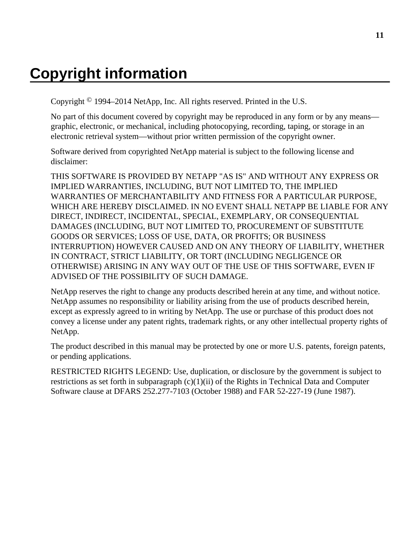# <span id="page-10-0"></span>**Copyright information**

Copyright © 1994–2014 NetApp, Inc. All rights reserved. Printed in the U.S.

No part of this document covered by copyright may be reproduced in any form or by any means graphic, electronic, or mechanical, including photocopying, recording, taping, or storage in an electronic retrieval system—without prior written permission of the copyright owner.

Software derived from copyrighted NetApp material is subject to the following license and disclaimer:

THIS SOFTWARE IS PROVIDED BY NETAPP "AS IS" AND WITHOUT ANY EXPRESS OR IMPLIED WARRANTIES, INCLUDING, BUT NOT LIMITED TO, THE IMPLIED WARRANTIES OF MERCHANTABILITY AND FITNESS FOR A PARTICULAR PURPOSE, WHICH ARE HEREBY DISCLAIMED. IN NO EVENT SHALL NETAPP BE LIABLE FOR ANY DIRECT, INDIRECT, INCIDENTAL, SPECIAL, EXEMPLARY, OR CONSEQUENTIAL DAMAGES (INCLUDING, BUT NOT LIMITED TO, PROCUREMENT OF SUBSTITUTE GOODS OR SERVICES; LOSS OF USE, DATA, OR PROFITS; OR BUSINESS INTERRUPTION) HOWEVER CAUSED AND ON ANY THEORY OF LIABILITY, WHETHER IN CONTRACT, STRICT LIABILITY, OR TORT (INCLUDING NEGLIGENCE OR OTHERWISE) ARISING IN ANY WAY OUT OF THE USE OF THIS SOFTWARE, EVEN IF ADVISED OF THE POSSIBILITY OF SUCH DAMAGE.

NetApp reserves the right to change any products described herein at any time, and without notice. NetApp assumes no responsibility or liability arising from the use of products described herein, except as expressly agreed to in writing by NetApp. The use or purchase of this product does not convey a license under any patent rights, trademark rights, or any other intellectual property rights of NetApp.

The product described in this manual may be protected by one or more U.S. patents, foreign patents, or pending applications.

RESTRICTED RIGHTS LEGEND: Use, duplication, or disclosure by the government is subject to restrictions as set forth in subparagraph  $(c)(1)(ii)$  of the Rights in Technical Data and Computer Software clause at DFARS 252.277-7103 (October 1988) and FAR 52-227-19 (June 1987).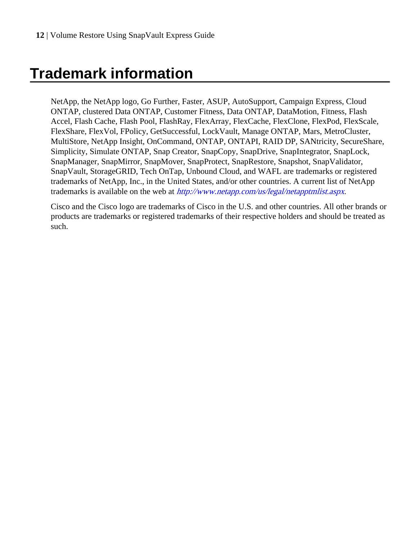# <span id="page-11-0"></span>**Trademark information**

NetApp, the NetApp logo, Go Further, Faster, ASUP, AutoSupport, Campaign Express, Cloud ONTAP, clustered Data ONTAP, Customer Fitness, Data ONTAP, DataMotion, Fitness, Flash Accel, Flash Cache, Flash Pool, FlashRay, FlexArray, FlexCache, FlexClone, FlexPod, FlexScale, FlexShare, FlexVol, FPolicy, GetSuccessful, LockVault, Manage ONTAP, Mars, MetroCluster, MultiStore, NetApp Insight, OnCommand, ONTAP, ONTAPI, RAID DP, SANtricity, SecureShare, Simplicity, Simulate ONTAP, Snap Creator, SnapCopy, SnapDrive, SnapIntegrator, SnapLock, SnapManager, SnapMirror, SnapMover, SnapProtect, SnapRestore, Snapshot, SnapValidator, SnapVault, StorageGRID, Tech OnTap, Unbound Cloud, and WAFL are trademarks or registered trademarks of NetApp, Inc., in the United States, and/or other countries. A current list of NetApp trademarks is available on the web at <http://www.netapp.com/us/legal/netapptmlist.aspx>.

Cisco and the Cisco logo are trademarks of Cisco in the U.S. and other countries. All other brands or products are trademarks or registered trademarks of their respective holders and should be treated as such.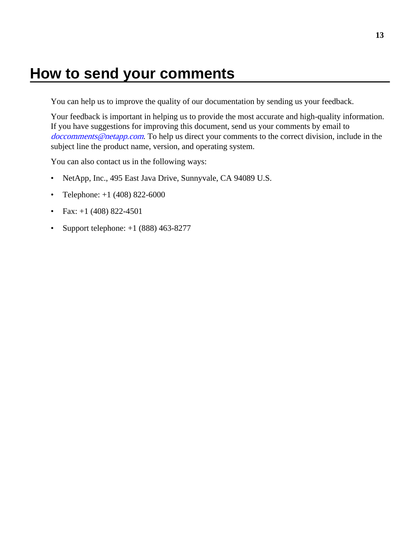# <span id="page-12-0"></span>**How to send your comments**

You can help us to improve the quality of our documentation by sending us your feedback.

Your feedback is important in helping us to provide the most accurate and high-quality information. If you have suggestions for improving this document, send us your comments by email to [doccomments@netapp.com](mailto:doccomments@netapp.com). To help us direct your comments to the correct division, include in the subject line the product name, version, and operating system.

You can also contact us in the following ways:

- NetApp, Inc., 495 East Java Drive, Sunnyvale, CA 94089 U.S.
- Telephone:  $+1$  (408) 822-6000
- Fax:  $+1$  (408) 822-4501
- Support telephone:  $+1$  (888) 463-8277